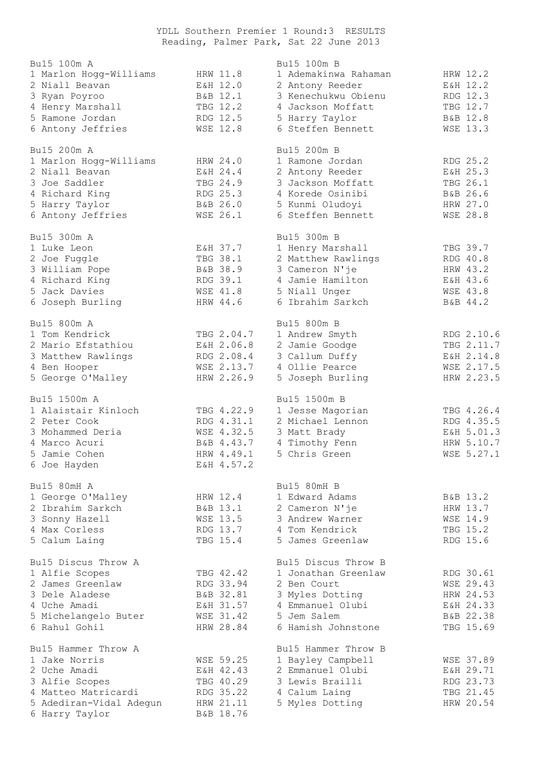YDLL Southern Premier 1 Round:3 RESULTS Reading, Palmer Park, Sat 22 June 2013

| Bu15 100m A             |                 | Bu15 100m B          |            |
|-------------------------|-----------------|----------------------|------------|
| 1 Marlon Hogg-Williams  | HRW 11.8        | 1 Ademakinwa Rahaman | HRW 12.2   |
| 2 Niall Beavan          | E&H 12.0        | 2 Antony Reeder      | E&H 12.2   |
| 3 Ryan Poyroo           | B&B 12.1        | 3 Kenechukwu Obienu  | RDG 12.3   |
| 4 Henry Marshall        | TBG 12.2        | 4 Jackson Moffatt    | TBG 12.7   |
| 5 Ramone Jordan         | RDG 12.5        | 5 Harry Taylor       | B&B 12.8   |
| 6 Antony Jeffries       | WSE 12.8        | 6 Steffen Bennett    | WSE 13.3   |
| Bu15 200m A             |                 | Bu15 200m B          |            |
| 1 Marlon Hogg-Williams  | HRW 24.0        | 1 Ramone Jordan      | RDG 25.2   |
| 2 Niall Beavan          | E&H 24.4        | 2 Antony Reeder      | E&H 25.3   |
| 3 Joe Saddler           | TBG 24.9        | 3 Jackson Moffatt    | TBG 26.1   |
| 4 Richard King          | RDG 25.3        | 4 Korede Osinibi     | B&B 26.6   |
| 5 Harry Taylor          | B&B 26.0        | 5 Kunmi Oludoyi      | HRW 27.0   |
| 6 Antony Jeffries       | WSE 26.1        | 6 Steffen Bennett    | WSE 28.8   |
| Bu15 300m A             |                 | Bu15 300m B          |            |
| 1 Luke Leon             | E&H 37.7        | 1 Henry Marshall     | TBG 39.7   |
| 2 Joe Fuggle            | TBG 38.1        | 2 Matthew Rawlings   | RDG 40.8   |
| 3 William Pope          | B&B 38.9        | 3 Cameron N'ie       | HRW 43.2   |
| 4 Richard King          | RDG 39.1        | 4 Jamie Hamilton     | E&H 43.6   |
| 5 Jack Davies           | <b>WSE 41.8</b> | 5 Niall Unger        | WSE 43.8   |
| 6 Joseph Burling        | HRW 44.6        | 6 Ibrahim Sarkch     | B&B 44.2   |
|                         |                 |                      |            |
| Bu15 800m A             |                 | Bu15 800m B          |            |
| 1 Tom Kendrick          | TBG 2.04.7      | 1 Andrew Smyth       | RDG 2.10.6 |
| 2 Mario Efstathiou      | E&H 2.06.8      | 2 Jamie Goodge       | TBG 2.11.7 |
| 3 Matthew Rawlings      | RDG 2.08.4      | 3 Callum Duffy       | E&H 2.14.8 |
| 4 Ben Hooper            | WSE 2.13.7      | 4 Ollie Pearce       | WSE 2.17.5 |
| 5 George O'Malley       | HRW 2.26.9      | 5 Joseph Burling     | HRW 2.23.5 |
| Bu15 1500m A            |                 | Bu15 1500m B         |            |
| 1 Alaistair Kinloch     | TBG 4.22.9      | 1 Jesse Magorian     | TBG 4.26.4 |
| 2 Peter Cook            | RDG 4.31.1      | 2 Michael Lennon     | RDG 4.35.5 |
| 3 Mohammed Deria        | WSE 4.32.5      | 3 Matt Brady         | E&H 5.01.3 |
| 4 Marco Acuri           | B&B 4.43.7      | 4 Timothy Fenn       | HRW 5.10.7 |
| 5 Jamie Cohen           | HRW 4.49.1      | 5 Chris Green        | WSE 5.27.1 |
| 6 Joe Hayden            | E&H 4.57.2      |                      |            |
| Bu15 80mH A             |                 | Bu15 80mH B          |            |
| 1 George O'Malley       | HRW 12.4        | 1 Edward Adams       | B&B 13.2   |
| 2 Ibrahim Sarkch        | B&B 13.1        | 2 Cameron N'ie       | HRW 13.7   |
| 3 Sonny Hazell          | WSE 13.5        | 3 Andrew Warner      | WSE 14.9   |
| 4 Max Corless           | RDG 13.7        | 4 Tom Kendrick       | TBG 15.2   |
| 5 Calum Laing           | TBG 15.4        | 5 James Greenlaw     | RDG 15.6   |
| Bu15 Discus Throw A     |                 | Bu15 Discus Throw B  |            |
| 1 Alfie Scopes          | TBG 42.42       | 1 Jonathan Greenlaw  | RDG 30.61  |
| 2 James Greenlaw        | RDG 33.94       | 2 Ben Court          | WSE 29.43  |
| 3 Dele Aladese          | B&B 32.81       | 3 Myles Dotting      | HRW 24.53  |
| 4 Uche Amadi            | E&H 31.57       | 4 Emmanuel Olubi     | E&H 24.33  |
| 5 Michelangelo Buter    | WSE 31.42       | 5 Jem Salem          | B&B 22.38  |
| 6 Rahul Gohil           | HRW 28.84       | 6 Hamish Johnstone   | TBG 15.69  |
| Bu15 Hammer Throw A     |                 | Bu15 Hammer Throw B  |            |
| 1 Jake Norris           | WSE 59.25       | 1 Bayley Campbell    | WSE 37.89  |
| 2 Uche Amadi            | E&H 42.43       | 2 Emmanuel Olubi     | E&H 29.71  |
| 3 Alfie Scopes          | TBG 40.29       | 3 Lewis Brailli      | RDG 23.73  |
| 4 Matteo Matricardi     | RDG 35.22       | 4 Calum Laing        | TBG 21.45  |
| 5 Adediran-Vidal Adegun | HRW 21.11       | 5 Myles Dotting      | HRW 20.54  |
| 6 Harry Taylor          | B&B 18.76       |                      |            |
|                         |                 |                      |            |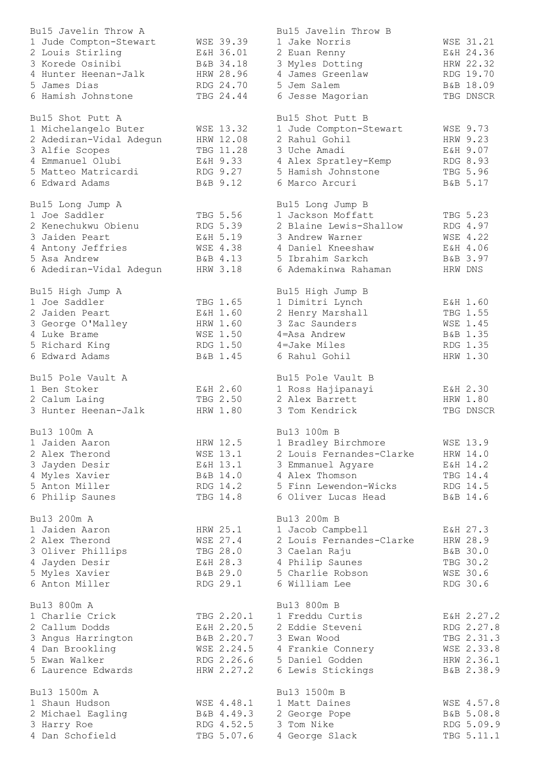| Bu15 Javelin Throw A    |                 | Bu15 Javelin Throw B     |            |
|-------------------------|-----------------|--------------------------|------------|
| 1 Jude Compton-Stewart  | WSE 39.39       | 1 Jake Norris            | WSE 31.21  |
| 2 Louis Stirling        | E&H 36.01       | 2 Euan Renny             | E&H 24.36  |
| 3 Korede Osinibi        | B&B 34.18       | 3 Myles Dotting          | HRW 22.32  |
| 4 Hunter Heenan-Jalk    | HRW 28.96       | 4 James Greenlaw         | RDG 19.70  |
| 5 James Dias            | RDG 24.70       | 5 Jem Salem              | B&B 18.09  |
| 6 Hamish Johnstone      | TBG 24.44       | 6 Jesse Magorian         | TBG DNSCR  |
| Bu15 Shot Putt A        |                 | Bu15 Shot Putt B         |            |
|                         | WSE 13.32       |                          |            |
| 1 Michelangelo Buter    | HRW 12.08       | 1 Jude Compton-Stewart   | WSE 9.73   |
| 2 Adediran-Vidal Adegun |                 | 2 Rahul Gohil            | HRW 9.23   |
| 3 Alfie Scopes          | TBG 11.28       | 3 Uche Amadi             | E&H 9.07   |
| 4 Emmanuel Olubi        | E&H 9.33        | 4 Alex Spratley-Kemp     | RDG 8.93   |
| 5 Matteo Matricardi     | RDG 9.27        | 5 Hamish Johnstone       | TBG 5.96   |
| 6 Edward Adams          | B&B 9.12        | 6 Marco Arcuri           | B&B 5.17   |
| Bu15 Long Jump A        |                 | Bu15 Long Jump B         |            |
| 1 Joe Saddler           | TBG 5.56        | 1 Jackson Moffatt        | TBG 5.23   |
| 2 Kenechukwu Obienu     | RDG 5.39        | 2 Blaine Lewis-Shallow   | RDG 4.97   |
| 3 Jaiden Peart          | E&H 5.19        | 3 Andrew Warner          | WSE 4.22   |
| 4 Antony Jeffries       | WSE 4.38        | 4 Daniel Kneeshaw        | E&H 4.06   |
| 5 Asa Andrew            | B&B 4.13        | 5 Ibrahim Sarkch         | B&B 3.97   |
| 6 Adediran-Vidal Adequn | HRW 3.18        | 6 Ademakinwa Rahaman     | HRW DNS    |
| Bu15 High Jump A        |                 | Bu15 High Jump B         |            |
| 1 Joe Saddler           | TBG 1.65        | 1 Dimitri Lynch          | E&H 1.60   |
| 2 Jaiden Peart          |                 | 2 Henry Marshall         |            |
|                         | E&H 1.60        |                          | TBG 1.55   |
| 3 George O'Malley       | HRW 1.60        | 3 Zac Saunders           | WSE 1.45   |
| 4 Luke Brame            | <b>WSE 1.50</b> | 4=Asa Andrew             | B&B 1.35   |
| 5 Richard King          | RDG 1.50        | 4=Jake Miles             | RDG 1.35   |
| 6 Edward Adams          | B&B 1.45        | 6 Rahul Gohil            | HRW 1.30   |
| Bu15 Pole Vault A       |                 | Bu15 Pole Vault B        |            |
| 1 Ben Stoker            | E&H 2.60        | 1 Ross Hajipanayi        | E&H 2.30   |
| 2 Calum Laing           | TBG 2.50        | 2 Alex Barrett           | HRW 1.80   |
| 3 Hunter Heenan-Jalk    | HRW 1.80        | 3 Tom Kendrick           | TBG DNSCR  |
| Bu13 100m A             |                 | Bu13 100m B              |            |
| 1 Jaiden Aaron          | HRW 12.5        | 1 Bradley Birchmore      | WSE 13.9   |
| 2 Alex Therond          | WSE 13.1        | 2 Louis Fernandes-Clarke | HRW 14.0   |
| 3 Jayden Desir          | E&H 13.1        | 3 Emmanuel Aqyare        | E&H 14.2   |
| 4 Myles Xavier          | B&B 14.0        | 4 Alex Thomson           | TBG 14.4   |
| 5 Anton Miller          |                 |                          |            |
|                         | RDG 14.2        | 5 Finn Lewendon-Wicks    | RDG 14.5   |
| 6 Philip Saunes         | TBG 14.8        | 6 Oliver Lucas Head      | B&B 14.6   |
| Bu13 200m A             |                 | Bu13 200m B              |            |
| 1 Jaiden Aaron          | HRW 25.1        | 1 Jacob Campbell         | E&H 27.3   |
| 2 Alex Therond          | WSE 27.4        | 2 Louis Fernandes-Clarke | HRW 28.9   |
| 3 Oliver Phillips       | TBG 28.0        | 3 Caelan Raju            | B&B 30.0   |
| 4 Jayden Desir          | E&H 28.3        | 4 Philip Saunes          | TBG 30.2   |
| 5 Myles Xavier          | B&B 29.0        | 5 Charlie Robson         | WSE 30.6   |
| 6 Anton Miller          | RDG 29.1        | 6 William Lee            | RDG 30.6   |
| Bu13 800m A             |                 | Bu13 800m B              |            |
| 1 Charlie Crick         | TBG 2.20.1      | 1 Freddu Curtis          | E&H 2.27.2 |
| 2 Callum Dodds          | E&H 2.20.5      | 2 Eddie Steveni          | RDG 2.27.8 |
| 3 Angus Harrington      | B&B 2.20.7      | 3 Ewan Wood              | TBG 2.31.3 |
| 4 Dan Brookling         | WSE 2.24.5      | 4 Frankie Connery        | WSE 2.33.8 |
| 5 Ewan Walker           | RDG 2.26.6      | 5 Daniel Godden          | HRW 2.36.1 |
| 6 Laurence Edwards      | HRW 2.27.2      | 6 Lewis Stickings        | B&B 2.38.9 |
|                         |                 |                          |            |
| Bu13 1500m A            |                 | Bu13 1500m B             |            |
| 1 Shaun Hudson          | WSE 4.48.1      | 1 Matt Daines            | WSE 4.57.8 |
| 2 Michael Eagling       | B&B 4.49.3      | 2 George Pope            | B&B 5.08.8 |
| 3 Harry Roe             | RDG 4.52.5      | 3 Tom Nike               | RDG 5.09.9 |
| 4 Dan Schofield         | TBG 5.07.6      | 4 George Slack           | TBG 5.11.1 |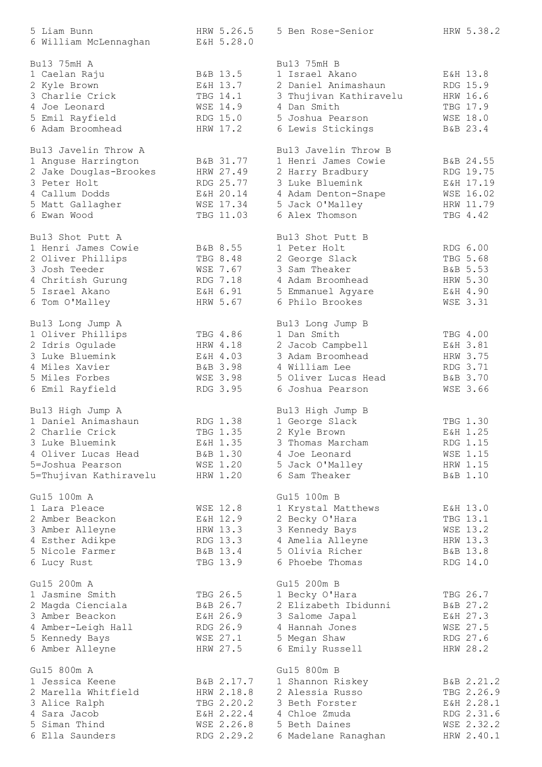| 5 Liam Bunn<br>6 William McLennaghan | HRW 5.26.5<br>E&H 5.28.0 | 5 Ben Rose-Senior               | HRW 5.38.2           |
|--------------------------------------|--------------------------|---------------------------------|----------------------|
|                                      |                          |                                 |                      |
| Bu13 75mH A                          |                          | Bu13 75mH B                     |                      |
| 1 Caelan Raju                        | B&B 13.5                 | 1 Israel Akano                  | E&H 13.8             |
| 2 Kyle Brown                         | E&H 13.7                 | 2 Daniel Animashaun             | RDG 15.9             |
| 3 Charlie Crick                      | TBG 14.1                 | 3 Thujivan Kathiravelu          | HRW 16.6             |
| 4 Joe Leonard                        | <b>WSE 14.9</b>          | 4 Dan Smith                     | TBG 17.9             |
| 5 Emil Rayfield                      | RDG 15.0                 | 5 Joshua Pearson                | <b>WSE 18.0</b>      |
| 6 Adam Broomhead                     | HRW 17.2                 | 6 Lewis Stickings               | B&B 23.4             |
| Bul3 Javelin Throw A                 |                          | Bul3 Javelin Throw B            |                      |
| 1 Anguse Harrington                  | B&B 31.77                | 1 Henri James Cowie             | B&B 24.55            |
| 2 Jake Douglas-Brookes               | HRW 27.49                | 2 Harry Bradbury                | RDG 19.75            |
| 3 Peter Holt                         | RDG 25.77                | 3 Luke Bluemink                 | E&H 17.19            |
| 4 Callum Dodds                       | E&H 20.14                | 4 Adam Denton-Snape             | WSE 16.02            |
| 5 Matt Gallagher                     | WSE 17.34                | 5 Jack O'Malley                 | HRW 11.79            |
| 6 Ewan Wood                          | TBG 11.03                | 6 Alex Thomson                  | TBG 4.42             |
|                                      |                          |                                 |                      |
| Bu13 Shot Putt A                     |                          | Bu13 Shot Putt B                |                      |
| 1 Henri James Cowie                  | B&B 8.55                 | 1 Peter Holt                    | RDG 6.00             |
| 2 Oliver Phillips                    | TBG 8.48                 | 2 George Slack                  | TBG 5.68             |
| 3 Josh Teeder                        | WSE 7.67                 | 3 Sam Theaker                   | B&B 5.53             |
| 4 Chritish Gurung                    | RDG 7.18                 | 4 Adam Broomhead                | HRW 5.30             |
| 5 Israel Akano                       | E&H 6.91                 | 5 Emmanuel Agyare               | E&H 4.90             |
| 6 Tom O'Malley                       | HRW 5.67                 | 6 Philo Brookes                 | <b>WSE 3.31</b>      |
| Bu13 Long Jump A                     |                          | Bu13 Long Jump B                |                      |
| 1 Oliver Phillips                    | TBG 4.86                 | 1 Dan Smith                     | TBG 4.00             |
| 2 Idris Ogulade                      | HRW 4.18                 | 2 Jacob Campbell                | E&H 3.81             |
| 3 Luke Bluemink                      | E&H 4.03                 | 3 Adam Broomhead                | HRW 3.75             |
| 4 Miles Xavier                       | B&B 3.98                 | 4 William Lee                   | RDG 3.71             |
| 5 Miles Forbes                       | <b>WSE 3.98</b>          | 5 Oliver Lucas Head             | B&B 3.70             |
| 6 Emil Rayfield                      | RDG 3.95                 | 6 Joshua Pearson                | WSE 3.66             |
|                                      |                          |                                 |                      |
| Bu13 High Jump A                     |                          | Bu13 High Jump B                |                      |
| 1 Daniel Animashaun                  | RDG 1.38                 | 1 George Slack                  | TBG 1.30             |
| 2 Charlie Crick                      | TBG 1.35                 | 2 Kyle Brown                    | E&H 1.25             |
| 3 Luke Bluemink                      | E&H 1.35                 | 3 Thomas Marcham                | RDG 1.15             |
| 4 Oliver Lucas Head                  | B&B 1.30                 | 4 Joe Leonard                   | WSE 1.15             |
| 5=Joshua Pearson                     | <b>WSE 1.20</b>          |                                 | HRW 1.15             |
|                                      |                          | 5 Jack O'Malley                 |                      |
| 5=Thujivan Kathiravelu               | HRW 1.20                 | 6 Sam Theaker                   | B&B 1.10             |
| Gu15 100m A                          |                          | Gu15 100m B                     |                      |
| 1 Lara Pleace                        | WSE 12.8                 | 1 Krystal Matthews              | E&H 13.0             |
| 2 Amber Beackon                      | E&H 12.9                 | 2 Becky O'Hara                  | TBG 13.1             |
| 3 Amber Alleyne                      | HRW 13.3                 | 3 Kennedy Bays                  | WSE 13.2             |
| 4 Esther Adikpe                      | RDG 13.3                 | 4 Amelia Alleyne                | HRW 13.3             |
| 5 Nicole Farmer                      | B&B 13.4                 | 5 Olivia Richer                 | B&B 13.8             |
| 6 Lucy Rust                          | TBG 13.9                 | 6 Phoebe Thomas                 | RDG 14.0             |
| Gu15 200m A                          |                          | Gu15 200m B                     |                      |
| 1 Jasmine Smith                      | TBG 26.5                 | 1 Becky O'Hara                  | TBG 26.7             |
| 2 Magda Cienciala                    | B&B 26.7                 | 2 Elizabeth Ibidunni            | B&B 27.2             |
| 3 Amber Beackon                      | E&H 26.9                 | 3 Salome Japal                  | E&H 27.3             |
|                                      | RDG 26.9                 |                                 |                      |
| 4 Amber-Leigh Hall                   |                          | 4 Hannah Jones                  | WSE 27.5             |
| 5 Kennedy Bays<br>6 Amber Alleyne    | WSE 27.1<br>HRW 27.5     | 5 Megan Shaw<br>6 Emily Russell | RDG 27.6<br>HRW 28.2 |
|                                      |                          |                                 |                      |
| Gu15 800m A<br>1 Jessica Keene       | B&B 2.17.7               | Gu15 800m B<br>1 Shannon Riskey | B&B 2.21.2           |
| 2 Marella Whitfield                  | HRW 2.18.8               | 2 Alessia Russo                 | TBG 2.26.9           |
|                                      |                          |                                 |                      |
| 3 Alice Ralph                        | TBG 2.20.2               | 3 Beth Forster                  | E&H 2.28.1           |
| 4 Sara Jacob                         | E&H 2.22.4               | 4 Chloe Zmuda                   | RDG 2.31.6           |
| 5 Siman Thind                        | WSE 2.26.8               | 5 Beth Daines                   | WSE 2.32.2           |
| 6 Ella Saunders                      | RDG 2.29.2               | 6 Madelane Ranaghan             | HRW 2.40.1           |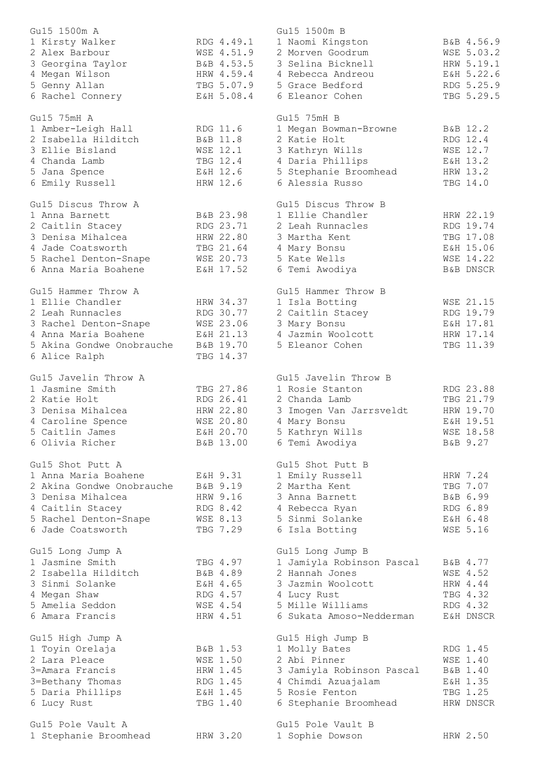| Gu15 1500m A                    |                      | Gu15 1500m B              |                      |
|---------------------------------|----------------------|---------------------------|----------------------|
| 1 Kirsty Walker                 | RDG 4.49.1           | 1 Naomi Kingston          | B&B 4.56.9           |
| 2 Alex Barbour                  | WSE 4.51.9           | 2 Morven Goodrum          | WSE 5.03.2           |
| 3 Georgina Taylor               | B&B 4.53.5           | 3 Selina Bicknell         | HRW 5.19.1           |
| 4 Megan Wilson                  | HRW 4.59.4           | 4 Rebecca Andreou         | E&H 5.22.6           |
| 5 Genny Allan                   | TBG 5.07.9           | 5 Grace Bedford           | RDG 5.25.9           |
| 6 Rachel Connery                | E&H 5.08.4           | 6 Eleanor Cohen           | TBG 5.29.5           |
| Gu15 75mH A                     |                      | Gu15 75mH B               |                      |
| 1 Amber-Leigh Hall              | RDG 11.6             | 1 Megan Bowman-Browne     | B&B 12.2             |
| 2 Isabella Hilditch             | B&B 11.8             | 2 Katie Holt              | RDG 12.4             |
|                                 |                      |                           |                      |
| 3 Ellie Bisland                 | WSE 12.1             | 3 Kathryn Wills           | WSE 12.7             |
| 4 Chanda Lamb                   | TBG 12.4             | 4 Daria Phillips          | E&H 13.2             |
| 5 Jana Spence                   | E&H 12.6             | 5 Stephanie Broomhead     | HRW 13.2             |
| 6 Emily Russell                 | HRW 12.6             | 6 Alessia Russo           | TBG 14.0             |
| Gu15 Discus Throw A             |                      | Gu15 Discus Throw B       |                      |
| 1 Anna Barnett                  | B&B 23.98            | 1 Ellie Chandler          | HRW 22.19            |
| 2 Caitlin Stacey                | RDG 23.71            | 2 Leah Runnacles          | RDG 19.74            |
| 3 Denisa Mihalcea               | HRW 22.80            | 3 Martha Kent             | TBG 17.08            |
| 4 Jade Coatsworth               | TBG 21.64            | 4 Mary Bonsu              | E&H 15.06            |
| 5 Rachel Denton-Snape           | WSE 20.73            | 5 Kate Wells              | WSE 14.22            |
| 6 Anna Maria Boahene            | E&H 17.52            | 6 Temi Awodiya            | <b>B&amp;B DNSCR</b> |
|                                 |                      |                           |                      |
| Gu15 Hammer Throw A             |                      | Gu15 Hammer Throw B       |                      |
| 1 Ellie Chandler                | HRW 34.37            | 1 Isla Botting            | WSE 21.15            |
| 2 Leah Runnacles                | RDG 30.77            | 2 Caitlin Stacey          | RDG 19.79            |
| 3 Rachel Denton-Snape           | WSE 23.06            | 3 Mary Bonsu              | E&H 17.81            |
| 4 Anna Maria Boahene            | E&H 21.13            | 4 Jazmin Woolcott         | HRW 17.14            |
| 5 Akina Gondwe Onobrauche       | B&B 19.70            | 5 Eleanor Cohen           | TBG 11.39            |
| 6 Alice Ralph                   | TBG 14.37            |                           |                      |
| Gu15 Javelin Throw A            |                      | Gu15 Javelin Throw B      |                      |
| 1 Jasmine Smith                 | TBG 27.86            | 1 Rosie Stanton           | RDG 23.88            |
| 2 Katie Holt                    | RDG 26.41            | 2 Chanda Lamb             | TBG 21.79            |
| 3 Denisa Mihalcea               | HRW 22.80            | 3 Imogen Van Jarrsveldt   | HRW 19.70            |
| 4 Caroline Spence               | <b>WSE 20.80</b>     | 4 Mary Bonsu              | E&H 19.51            |
| 5 Caitlin James                 | E&H 20.70            | 5 Kathryn Wills           | WSE 18.58            |
| 6 Olivia Richer                 | B&B 13.00            | 6 Temi Awodiya            | B&B 9.27             |
|                                 |                      |                           |                      |
| Gu15 Shot Putt A                |                      | Gu15 Shot Putt B          |                      |
| 1 Anna Maria Boahene            | E&H 9.31             | 1 Emily Russell           | HRW 7.24             |
| 2 Akina Gondwe Onobrauche       | B&B 9.19             | 2 Martha Kent             | TBG 7.07             |
| 3 Denisa Mihalcea               | HRW 9.16             | 3 Anna Barnett            | B&B 6.99             |
| 4 Caitlin Stacey                | RDG 8.42             | 4 Rebecca Ryan            | RDG 6.89             |
| 5 Rachel Denton-Snape           | WSE 8.13             | 5 Sinmi Solanke           | E&H 6.48             |
| 6 Jade Coatsworth               | TBG 7.29             | 6 Isla Botting            | <b>WSE 5.16</b>      |
| Gu15 Long Jump A                |                      | Gu15 Long Jump B          |                      |
| 1 Jasmine Smith                 | TBG 4.97             | 1 Jamiyla Robinson Pascal | B&B 4.77             |
| 2 Isabella Hilditch             | B&B 4.89             | 2 Hannah Jones            | WSE 4.52             |
| 3 Sinmi Solanke                 | E&H 4.65             | 3 Jazmin Woolcott         | HRW 4.44             |
|                                 | RDG 4.57             | 4 Lucy Rust               | TBG 4.32             |
| 4 Megan Shaw<br>5 Amelia Seddon |                      | 5 Mille Williams          |                      |
| 6 Amara Francis                 | WSE 4.54<br>HRW 4.51 | 6 Sukata Amoso-Nedderman  | RDG 4.32             |
|                                 |                      |                           | E&H DNSCR            |
| Gu15 High Jump A                |                      | Gu15 High Jump B          |                      |
| 1 Toyin Orelaja                 | B&B 1.53             | 1 Molly Bates             | RDG 1.45             |
| 2 Lara Pleace                   | WSE 1.50             | 2 Abi Pinner              | WSE 1.40             |
| 3=Amara Francis                 | HRW 1.45             | 3 Jamiyla Robinson Pascal | B&B 1.40             |
| 3=Bethany Thomas                | RDG 1.45             | 4 Chimdi Azuajalam        | E&H 1.35             |
| 5 Daria Phillips                | E&H 1.45             | 5 Rosie Fenton            | TBG 1.25             |
| 6 Lucy Rust                     | TBG 1.40             | 6 Stephanie Broomhead     | HRW DNSCR            |
| Gu15 Pole Vault A               |                      | Gu15 Pole Vault B         |                      |
| 1 Stephanie Broomhead           | HRW 3.20             |                           | HRW 2.50             |
|                                 |                      | 1 Sophie Dowson           |                      |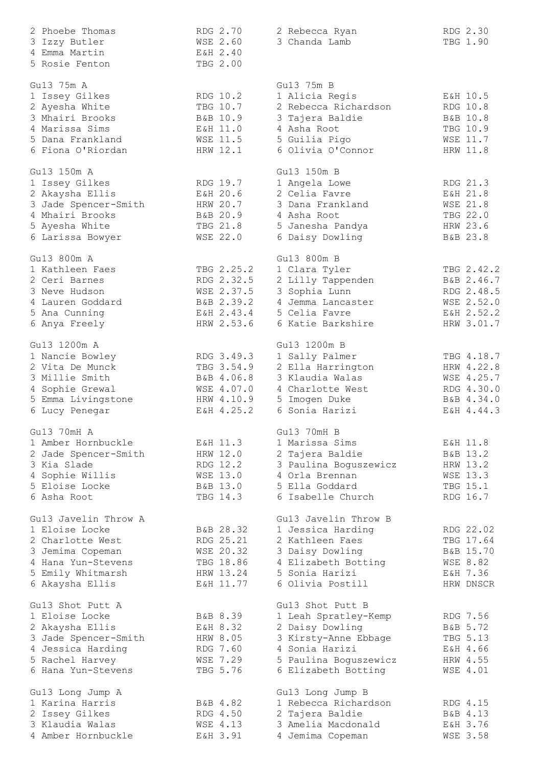| 2 Phoebe Thomas<br>3 Izzy Butler | RDG 2.70<br>WSE 2.60 | 2 Rebecca Ryan<br>3 Chanda Lamb     | RDG 2.30<br>TBG 1.90 |
|----------------------------------|----------------------|-------------------------------------|----------------------|
| 4 Emma Martin<br>5 Rosie Fenton  | E&H 2.40<br>TBG 2.00 |                                     |                      |
| Gu13 75m A                       |                      | Gu13 75m B                          |                      |
| 1 Issey Gilkes                   | RDG 10.2             | 1 Alicia Regis                      | E&H 10.5             |
| 2 Ayesha White                   | TBG 10.7             | 2 Rebecca Richardson                | RDG 10.8             |
| 3 Mhairi Brooks                  | B&B 10.9             | 3 Tajera Baldie                     | B&B 10.8             |
| 4 Marissa Sims                   | E&H 11.0             | 4 Asha Root                         | TBG 10.9             |
| 5 Dana Frankland                 | WSE 11.5             | 5 Guilia Pigo                       | WSE 11.7             |
| 6 Fiona O'Riordan                | HRW 12.1             | 6 Olivia O'Connor                   | HRW 11.8             |
| Gu13 150m A                      |                      | Gu13 150m B                         |                      |
| 1 Issey Gilkes                   | RDG 19.7             | 1 Angela Lowe                       | RDG 21.3             |
| 2 Akaysha Ellis                  | E&H 20.6             | 2 Celia Favre                       | E&H 21.8             |
| 3 Jade Spencer-Smith             | HRW 20.7             | 3 Dana Frankland                    | WSE 21.8             |
| 4 Mhairi Brooks                  | B&B 20.9             | 4 Asha Root                         | TBG 22.0             |
| 5 Ayesha White                   | TBG 21.8             | 5 Janesha Pandya                    | HRW 23.6             |
| 6 Larissa Bowyer                 | WSE 22.0             | 6 Daisy Dowling                     | B&B 23.8             |
| Gu13 800m A<br>1 Kathleen Faes   | TBG 2.25.2           | Gu13 800m B                         | TBG 2.42.2           |
| 2 Ceri Barnes                    | RDG 2.32.5           | 1 Clara Tyler                       | B&B 2.46.7           |
| 3 Neve Hudson                    | WSE 2.37.5           | 2 Lilly Tappenden<br>3 Sophia Lunn  | RDG 2.48.5           |
| 4 Lauren Goddard                 | B&B 2.39.2           | 4 Jemma Lancaster                   | WSE 2.52.0           |
| 5 Ana Cunning                    | E&H 2.43.4           | 5 Celia Favre                       | E&H 2.52.2           |
| 6 Anya Freely                    | HRW 2.53.6           | 6 Katie Barkshire                   | HRW 3.01.7           |
|                                  |                      |                                     |                      |
| Gu13 1200m A                     |                      | Gu13 1200m B                        |                      |
| 1 Nancie Bowley                  | RDG 3.49.3           | 1 Sally Palmer                      | TBG 4.18.7           |
| 2 Vita De Munck                  | TBG 3.54.9           | 2 Ella Harrington                   | HRW 4.22.8           |
| 3 Millie Smith                   | B&B 4.06.8           | 3 Klaudia Walas                     | WSE 4.25.7           |
| 4 Sophie Grewal                  | WSE 4.07.0           | 4 Charlotte West                    | RDG 4.30.0           |
| 5 Emma Livingstone               | HRW 4.10.9           | 5 Imogen Duke                       | B&B 4.34.0           |
| 6 Lucy Penegar                   | E&H 4.25.2           | 6 Sonia Harizi                      | E&H 4.44.3           |
| Gu13 70mH A                      |                      | Gu13 70mH B                         |                      |
| 1 Amber Hornbuckle               | E&H 11.3             | 1 Marissa Sims                      | E&H 11.8             |
| 2 Jade Spencer-Smith             | HRW 12.0             | 2 Tajera Baldie                     | B&B 13.2             |
| 3 Kia Slade                      | RDG 12.2             | 3 Paulina Boguszewicz               | HRW 13.2             |
| Sophie Willis                    | <b>WSE 13.0</b>      | 4 Orla Brennan                      | WSE 13.3             |
| 5 Eloise Locke<br>6 Asha Root    | B&B 13.0<br>TBG 14.3 | 5 Ella Goddard<br>6 Isabelle Church | TBG 15.1<br>RDG 16.7 |
|                                  |                      |                                     |                      |
| Gu13 Javelin Throw A             |                      | Gu13 Javelin Throw B                |                      |
| 1 Eloise Locke                   | B&B 28.32            | 1 Jessica Harding                   | RDG 22.02            |
| 2 Charlotte West                 | RDG 25.21            | 2 Kathleen Faes                     | TBG 17.64            |
| 3 Jemima Copeman                 | WSE 20.32            | 3 Daisy Dowling                     | B&B 15.70            |
| 4 Hana Yun-Stevens               | TBG 18.86            | 4 Elizabeth Botting                 | <b>WSE 8.82</b>      |
| 5 Emily Whitmarsh                | HRW 13.24            | 5 Sonia Harizi                      | E&H 7.36             |
| 6 Akaysha Ellis                  | E&H 11.77            | 6 Olivia Postill                    | HRW DNSCR            |
| Gu13 Shot Putt A                 |                      | Gu13 Shot Putt B                    |                      |
| 1 Eloise Locke                   | B&B 8.39             | 1 Leah Spratley-Kemp                | RDG 7.56             |
| 2 Akaysha Ellis                  | E&H 8.32             | 2 Daisy Dowling                     | B&B 5.72             |
| 3 Jade Spencer-Smith             | HRW 8.05             | 3 Kirsty-Anne Ebbage                | TBG 5.13             |
| 4 Jessica Harding                | RDG 7.60             | 4 Sonia Harizi                      | E&H 4.66             |
| 5 Rachel Harvey                  | WSE 7.29             | 5 Paulina Boguszewicz               | HRW 4.55             |
| 6 Hana Yun-Stevens               | TBG 5.76             | 6 Elizabeth Botting                 | WSE 4.01             |
| Gu13 Long Jump A                 |                      | Gu13 Long Jump B                    |                      |
| 1 Karina Harris                  | B&B 4.82             | 1 Rebecca Richardson                | RDG 4.15             |
| 2 Issey Gilkes                   | RDG 4.50             | 2 Tajera Baldie                     | B&B 4.13             |
| 3 Klaudia Walas                  | WSE 4.13             | 3 Amelia Macdonald                  | E&H 3.76             |
| 4 Amber Hornbuckle               | E&H 3.91             | 4 Jemima Copeman                    | WSE 3.58             |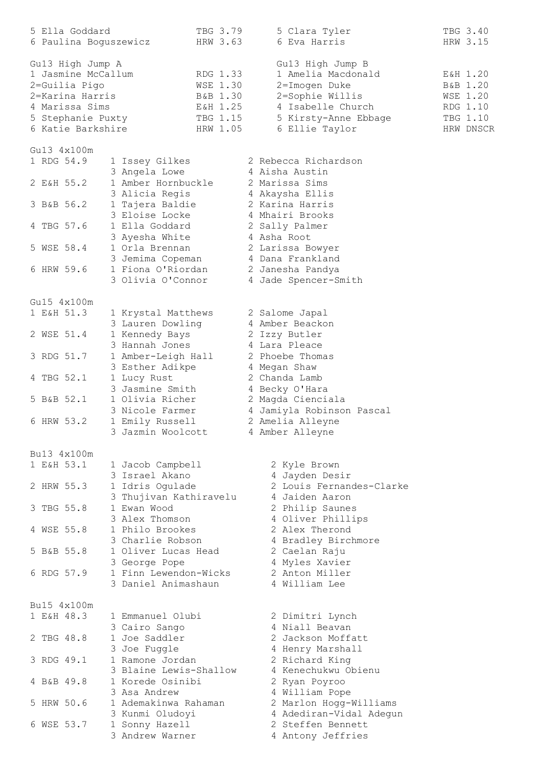| 5 Ella Goddard        |                      | TBG 3.79               | 5 Clara Tyler             | TBG 3.40        |
|-----------------------|----------------------|------------------------|---------------------------|-----------------|
| 6 Paulina Boguszewicz |                      | HRW 3.63               | 6 Eva Harris              | HRW 3.15        |
|                       |                      |                        |                           |                 |
| Gu13 High Jump A      |                      |                        | Gu13 High Jump B          |                 |
| 1 Jasmine McCallum    |                      | RDG 1.33               | 1 Amelia Macdonald        | E&H 1.20        |
| 2=Guilia Pigo         |                      | <b>WSE 1.30</b>        | 2=Imogen Duke             | B&B 1.20        |
| 2=Karina Harris       |                      | B&B 1.30               | 2=Sophie Willis           | <b>WSE 1.20</b> |
| 4 Marissa Sims        |                      | E&H 1.25               | 4 Isabelle Church         | RDG 1.10        |
| 5 Stephanie Puxty     |                      | TBG 1.15               | 5 Kirsty-Anne Ebbage      | TBG 1.10        |
| 6 Katie Barkshire     |                      | HRW 1.05               | 6 Ellie Taylor            | HRW DNSCR       |
|                       |                      |                        |                           |                 |
| Gu13 4x100m           |                      |                        |                           |                 |
| 1 RDG 54.9            | 1 Issey Gilkes       |                        | 2 Rebecca Richardson      |                 |
|                       | 3 Angela Lowe        |                        | 4 Aisha Austin            |                 |
| 2 E&H 55.2            | 1 Amber Hornbuckle   |                        | 2 Marissa Sims            |                 |
|                       | 3 Alicia Regis       |                        | 4 Akaysha Ellis           |                 |
| 3 B&B 56.2            | 1 Tajera Baldie      |                        | 2 Karina Harris           |                 |
|                       | 3 Eloise Locke       |                        | 4 Mhairi Brooks           |                 |
| 4 TBG 57.6            | 1 Ella Goddard       |                        | 2 Sally Palmer            |                 |
|                       | 3 Ayesha White       |                        | 4 Asha Root               |                 |
|                       |                      |                        |                           |                 |
| 5 WSE 58.4            | 1 Orla Brennan       |                        | 2 Larissa Bowyer          |                 |
|                       | 3 Jemima Copeman     |                        | 4 Dana Frankland          |                 |
| 6 HRW 59.6            | 1 Fiona O'Riordan    |                        | 2 Janesha Pandya          |                 |
|                       | 3 Olivia O'Connor    |                        | 4 Jade Spencer-Smith      |                 |
|                       |                      |                        |                           |                 |
| Gu15 4x100m           |                      |                        |                           |                 |
| 1 E&H 51.3            |                      | 1 Krystal Matthews     | 2 Salome Japal            |                 |
|                       | 3 Lauren Dowling     |                        | 4 Amber Beackon           |                 |
| 2 WSE 51.4            | 1 Kennedy Bays       |                        | 2 Izzy Butler             |                 |
|                       | 3 Hannah Jones       |                        | 4 Lara Pleace             |                 |
| 3 RDG 51.7            | 1 Amber-Leigh Hall   |                        | 2 Phoebe Thomas           |                 |
|                       | 3 Esther Adikpe      |                        | 4 Megan Shaw              |                 |
| 4 TBG 52.1            | 1 Lucy Rust          |                        | 2 Chanda Lamb             |                 |
|                       | 3 Jasmine Smith      |                        | 4 Becky O'Hara            |                 |
| 5 B&B 52.1            | 1 Olivia Richer      |                        | 2 Magda Cienciala         |                 |
|                       | 3 Nicole Farmer      |                        | 4 Jamiyla Robinson Pascal |                 |
| 6 HRW 53.2            | 1 Emily Russell      |                        | 2 Amelia Alleyne          |                 |
|                       | 3 Jazmin Woolcott    |                        | 4 Amber Alleyne           |                 |
|                       |                      |                        |                           |                 |
| Bu13 4x100m           |                      |                        |                           |                 |
| 1 E&H 53.1            | 1 Jacob Campbell     |                        | 2 Kyle Brown              |                 |
|                       | 3 Israel Akano       |                        | 4 Jayden Desir            |                 |
| 2 HRW 55.3            |                      |                        | 2 Louis Fernandes-Clarke  |                 |
|                       | 1 Idris Ogulade      |                        |                           |                 |
|                       |                      | 3 Thujivan Kathiravelu | 4 Jaiden Aaron            |                 |
| 3 TBG 55.8            | 1 Ewan Wood          |                        | 2 Philip Saunes           |                 |
|                       | 3 Alex Thomson       |                        | 4 Oliver Phillips         |                 |
| 4 WSE 55.8            | 1 Philo Brookes      |                        | 2 Alex Therond            |                 |
|                       | 3 Charlie Robson     |                        | 4 Bradley Birchmore       |                 |
| 5 B&B 55.8            | 1 Oliver Lucas Head  |                        | 2 Caelan Raju             |                 |
|                       | 3 George Pope        |                        | 4 Myles Xavier            |                 |
| 6 RDG 57.9            |                      | 1 Finn Lewendon-Wicks  | 2 Anton Miller            |                 |
|                       | 3 Daniel Animashaun  |                        | 4 William Lee             |                 |
|                       |                      |                        |                           |                 |
| Bu15 4x100m           |                      |                        |                           |                 |
| 1 E&H 48.3            | 1 Emmanuel Olubi     |                        | 2 Dimitri Lynch           |                 |
|                       | 3 Cairo Sango        |                        | 4 Niall Beavan            |                 |
| 2 TBG 48.8            | 1 Joe Saddler        |                        | 2 Jackson Moffatt         |                 |
|                       | 3 Joe Fuggle         |                        | 4 Henry Marshall          |                 |
| 3 RDG 49.1            | 1 Ramone Jordan      |                        |                           |                 |
|                       |                      |                        | 2 Richard King            |                 |
|                       |                      | 3 Blaine Lewis-Shallow | 4 Kenechukwu Obienu       |                 |
| 4 B&B 49.8            | 1 Korede Osinibi     |                        | 2 Ryan Poyroo             |                 |
|                       | 3 Asa Andrew         |                        | 4 William Pope            |                 |
| 5 HRW 50.6            | 1 Ademakinwa Rahaman |                        | 2 Marlon Hogg-Williams    |                 |
|                       | 3 Kunmi Oludoyi      |                        | 4 Adediran-Vidal Adegun   |                 |
| 6 WSE 53.7            | 1 Sonny Hazell       |                        | 2 Steffen Bennett         |                 |
|                       | 3 Andrew Warner      |                        | 4 Antony Jeffries         |                 |